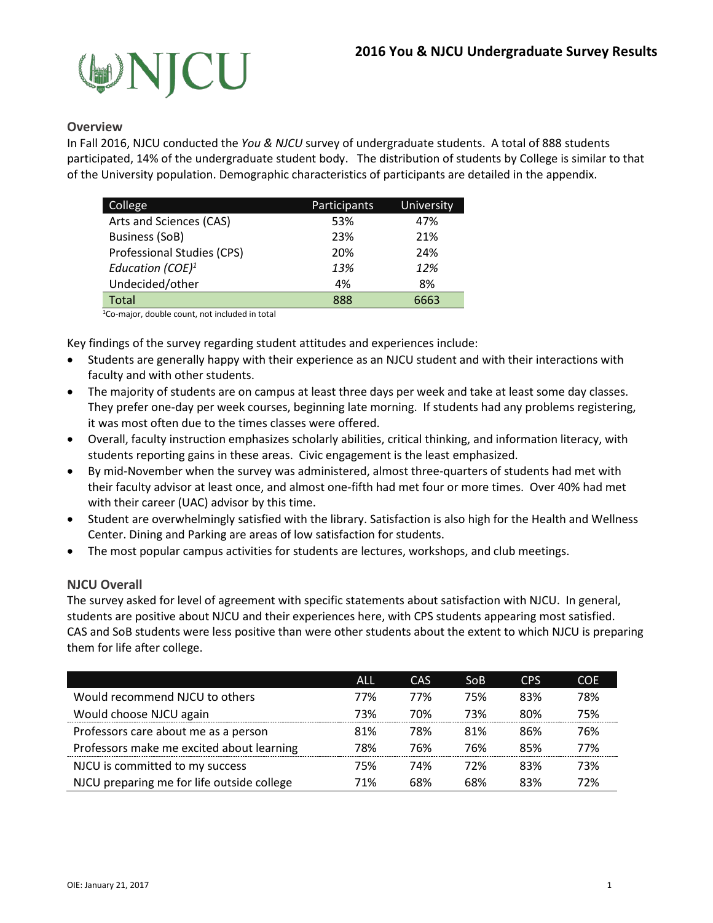

### **Overview**

In Fall 2016, NJCU conducted the *You & NJCU* survey of undergraduate students. A total of 888 students participated, 14% of the undergraduate student body. The distribution of students by College is similar to that of the University population. Demographic characteristics of participants are detailed in the appendix.

| College                      | Participants | University |
|------------------------------|--------------|------------|
| Arts and Sciences (CAS)      | 53%          | 47%        |
| <b>Business (SoB)</b>        | 23%          | 21%        |
| Professional Studies (CPS)   | 20%          | 24%        |
| Education (COE) <sup>1</sup> | 13%          | 12%        |
| Undecided/other              | 4%           | 8%         |
| Total                        | 888          | 6663       |

1Co-major, double count, not included in total

Key findings of the survey regarding student attitudes and experiences include:

- Students are generally happy with their experience as an NJCU student and with their interactions with faculty and with other students.
- The majority of students are on campus at least three days per week and take at least some day classes. They prefer one-day per week courses, beginning late morning. If students had any problems registering, it was most often due to the times classes were offered.
- Overall, faculty instruction emphasizes scholarly abilities, critical thinking, and information literacy, with students reporting gains in these areas. Civic engagement is the least emphasized.
- By mid-November when the survey was administered, almost three-quarters of students had met with their faculty advisor at least once, and almost one-fifth had met four or more times. Over 40% had met with their career (UAC) advisor by this time.
- Student are overwhelmingly satisfied with the library. Satisfaction is also high for the Health and Wellness Center. Dining and Parking are areas of low satisfaction for students.
- The most popular campus activities for students are lectures, workshops, and club meetings.

#### **NJCU Overall**

The survey asked for level of agreement with specific statements about satisfaction with NJCU. In general, students are positive about NJCU and their experiences here, with CPS students appearing most satisfied. CAS and SoB students were less positive than were other students about the extent to which NJCU is preparing them for life after college.

|                                            | ALL. | CAS | So <sub>B</sub> | <b>CPS</b> | <b>COE</b> |
|--------------------------------------------|------|-----|-----------------|------------|------------|
| Would recommend NJCU to others             | 77%  | 77% | 75%             | 83%        | 78%        |
| Would choose NJCU again                    | 73%  | 70% | 73%             | 80%        | 75%        |
| Professors care about me as a person       | 81%  | 78% | 81%             | 86%        | 76%        |
| Professors make me excited about learning  | 78%  | 76% | 76%             | 85%        | 77%        |
| NJCU is committed to my success            | 75%  | 74% | 72%             | 83%        | 73%        |
| NJCU preparing me for life outside college | 71%  | 68% | 68%             | 83%        | 72%        |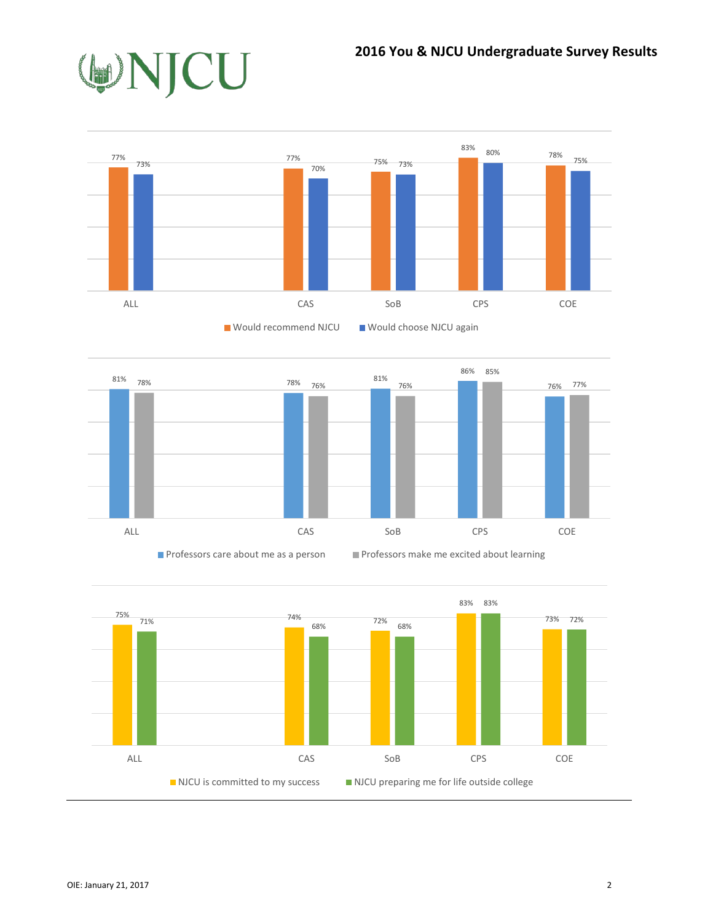





**Professors care about me as a person Professors make me excited about learning** 

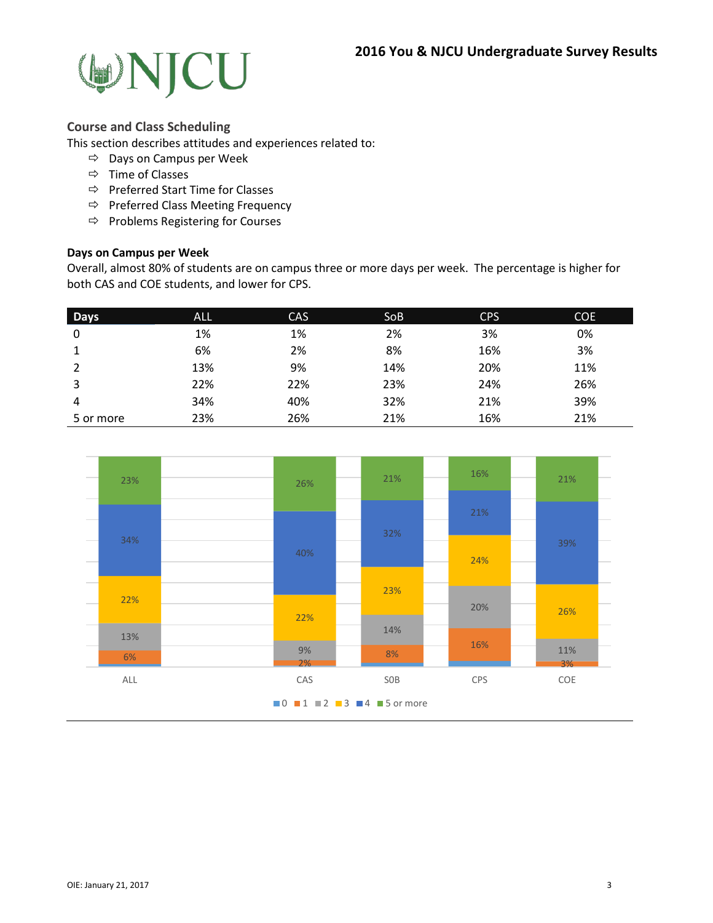

#### **Course and Class Scheduling**

This section describes attitudes and experiences related to:

- $\Rightarrow$  Days on Campus per Week
- $\Rightarrow$  Time of Classes
- $\Rightarrow$  Preferred Start Time for Classes
- $\Rightarrow$  Preferred Class Meeting Frequency
- $\Rightarrow$  Problems Registering for Courses

#### **Days on Campus per Week**

Overall, almost 80% of students are on campus three or more days per week. The percentage is higher for both CAS and COE students, and lower for CPS.

| <b>Days</b> | <b>ALL</b> | <b>CAS</b> | <b>SoB</b> | <b>CPS</b> | <b>COE</b> |
|-------------|------------|------------|------------|------------|------------|
| 0           | 1%         | 1%         | 2%         | 3%         | 0%         |
| 1           | 6%         | 2%         | 8%         | 16%        | 3%         |
|             | 13%        | 9%         | 14%        | 20%        | 11%        |
| 3           | 22%        | 22%        | 23%        | 24%        | 26%        |
| 4           | 34%        | 40%        | 32%        | 21%        | 39%        |
| 5 or more   | 23%        | 26%        | 21%        | 16%        | 21%        |

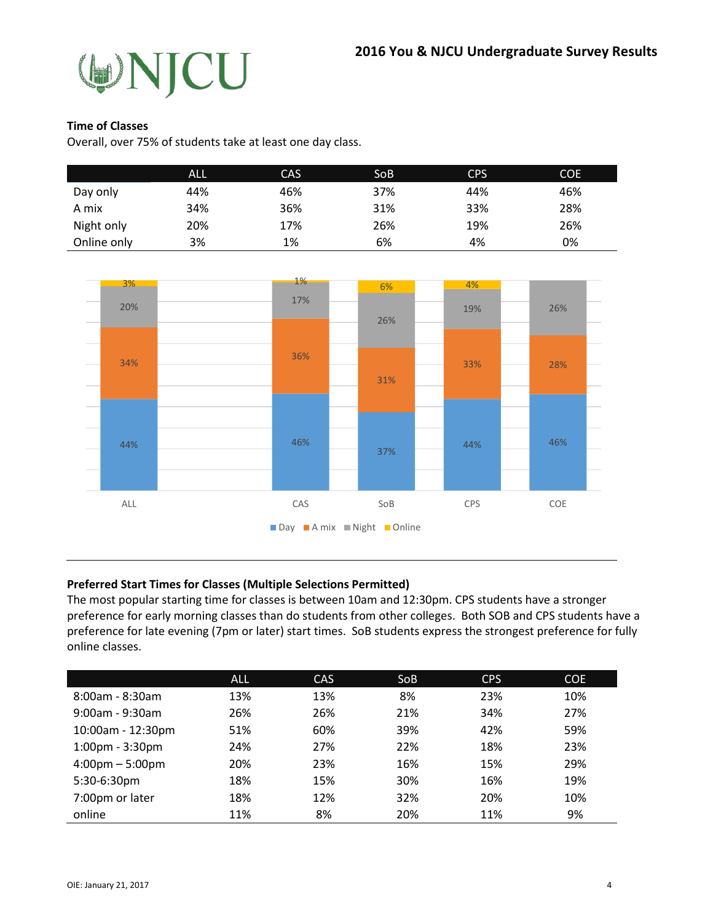

#### **Time of Classes**

Overall, over 75% of students take at least one day class.

|             | <b>ALL</b> | CAS | <b>SoB</b> | <b>CPS</b> | <b>COE</b> |
|-------------|------------|-----|------------|------------|------------|
| Day only    | 44%        | 46% | 37%        | 44%        | 46%        |
| A mix       | 34%        | 36% | 31%        | 33%        | 28%        |
| Night only  | 20%        | 17% | 26%        | 19%        | 26%        |
| Online only | 3%         | 1%  | 6%         | 4%         | 0%         |



#### **Preferred Start Times for Classes (Multiple Selections Permitted)**

The most popular starting time for classes is between 10am and 12:30pm. CPS students have a stronger preference for early morning classes than do students from other colleges. Both SOB and CPS students have a preference for late evening (7pm or later) start times. SoB students express the strongest preference for fully online classes.

|                                   | <b>ALL</b> | CAS | <b>SoB</b> | <b>CPS</b> | <b>COE</b> |
|-----------------------------------|------------|-----|------------|------------|------------|
| $8:00$ am - $8:30$ am             | 13%        | 13% | 8%         | 23%        | 10%        |
| $9:00$ am - $9:30$ am             | 26%        | 26% | 21%        | 34%        | 27%        |
| 10:00am - 12:30pm                 | 51%        | 60% | 39%        | 42%        | 59%        |
| $1:00$ pm - $3:30$ pm             | 24%        | 27% | 22%        | 18%        | 23%        |
| $4:00 \text{pm} - 5:00 \text{pm}$ | 20%        | 23% | 16%        | 15%        | 29%        |
| 5:30-6:30pm                       | 18%        | 15% | 30%        | 16%        | 19%        |
| 7:00pm or later                   | 18%        | 12% | 32%        | 20%        | 10%        |
| online                            | 11%        | 8%  | 20%        | 11%        | 9%         |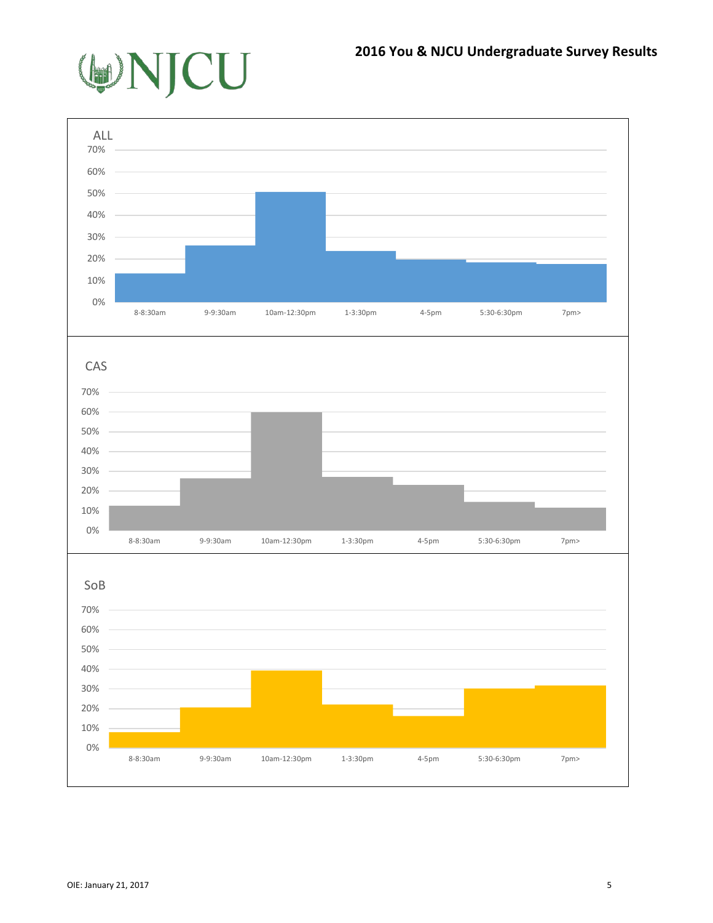

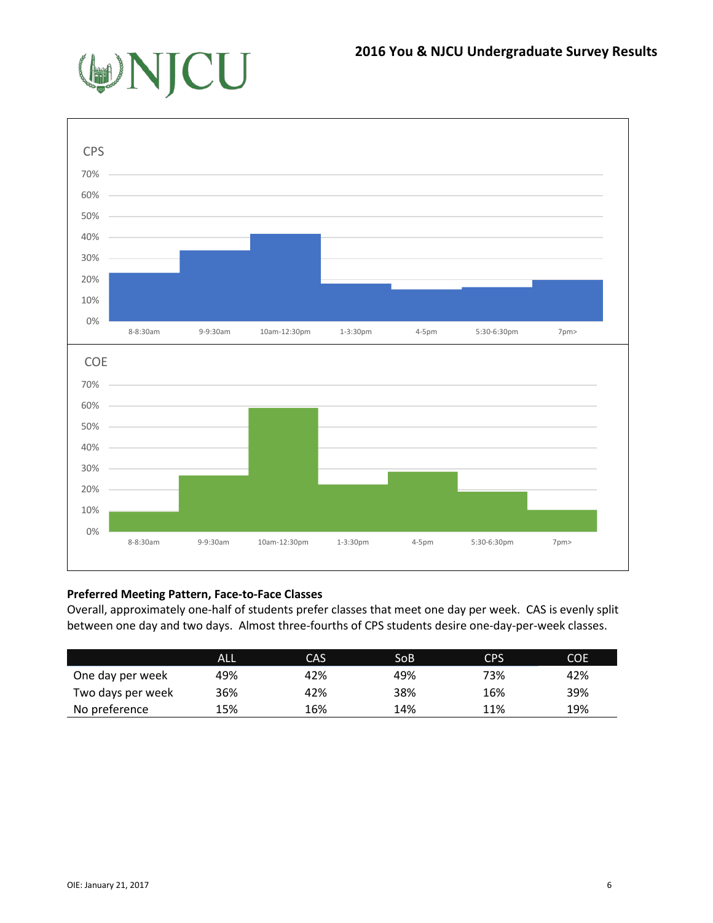



## **Preferred Meeting Pattern, Face-to-Face Classes**

Overall, approximately one-half of students prefer classes that meet one day per week. CAS is evenly split between one day and two days. Almost three-fourths of CPS students desire one-day-per-week classes.

|                   | ALL | CAS | SoB | C <sub>PS</sub> | <b>COE</b> |
|-------------------|-----|-----|-----|-----------------|------------|
| One day per week  | 49% | 42% | 49% | 73%             | 42%        |
| Two days per week | 36% | 42% | 38% | 16%             | 39%        |
| No preference     | 15% | 16% | 14% | 11%             | 19%        |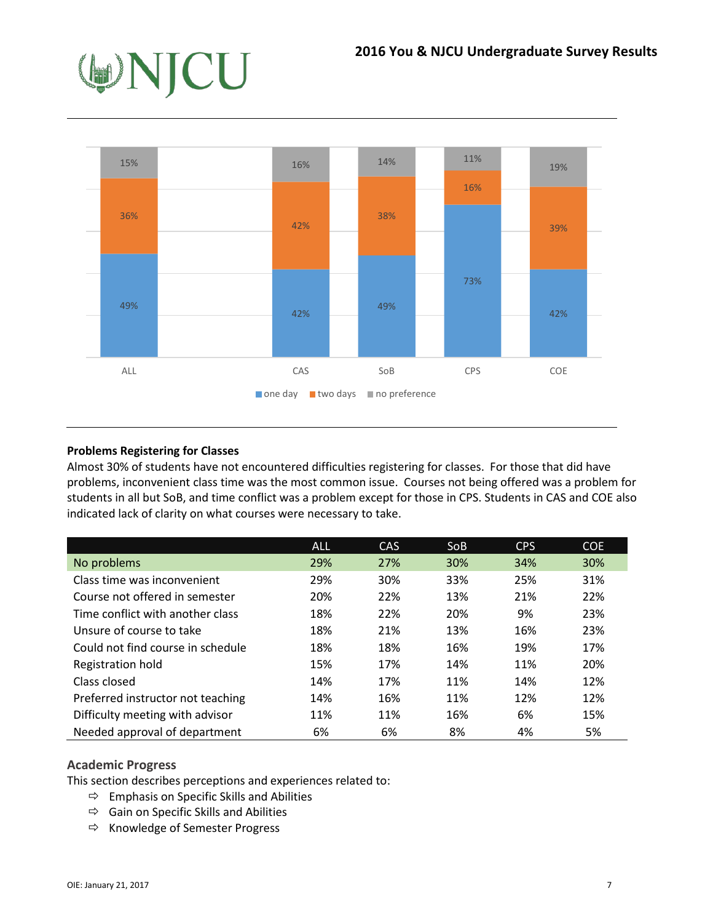

## **Problems Registering for Classes**

Almost 30% of students have not encountered difficulties registering for classes. For those that did have problems, inconvenient class time was the most common issue. Courses not being offered was a problem for students in all but SoB, and time conflict was a problem except for those in CPS. Students in CAS and COE also indicated lack of clarity on what courses were necessary to take.

|                                   | ALL | CAS | <b>SoB</b> | <b>CPS</b> | COE |
|-----------------------------------|-----|-----|------------|------------|-----|
| No problems                       | 29% | 27% | 30%        | 34%        | 30% |
| Class time was inconvenient       | 29% | 30% | 33%        | 25%        | 31% |
| Course not offered in semester    | 20% | 22% | 13%        | 21%        | 22% |
| Time conflict with another class  | 18% | 22% | 20%        | 9%         | 23% |
| Unsure of course to take          | 18% | 21% | 13%        | 16%        | 23% |
| Could not find course in schedule | 18% | 18% | 16%        | 19%        | 17% |
| Registration hold                 | 15% | 17% | 14%        | 11%        | 20% |
| Class closed                      | 14% | 17% | 11%        | 14%        | 12% |
| Preferred instructor not teaching | 14% | 16% | 11%        | 12%        | 12% |
| Difficulty meeting with advisor   | 11% | 11% | 16%        | 6%         | 15% |
| Needed approval of department     | 6%  | 6%  | 8%         | 4%         | 5%  |

## **Academic Progress**

This section describes perceptions and experiences related to:

- $\Rightarrow$  Emphasis on Specific Skills and Abilities
- $\Rightarrow$  Gain on Specific Skills and Abilities
- $\Rightarrow$  Knowledge of Semester Progress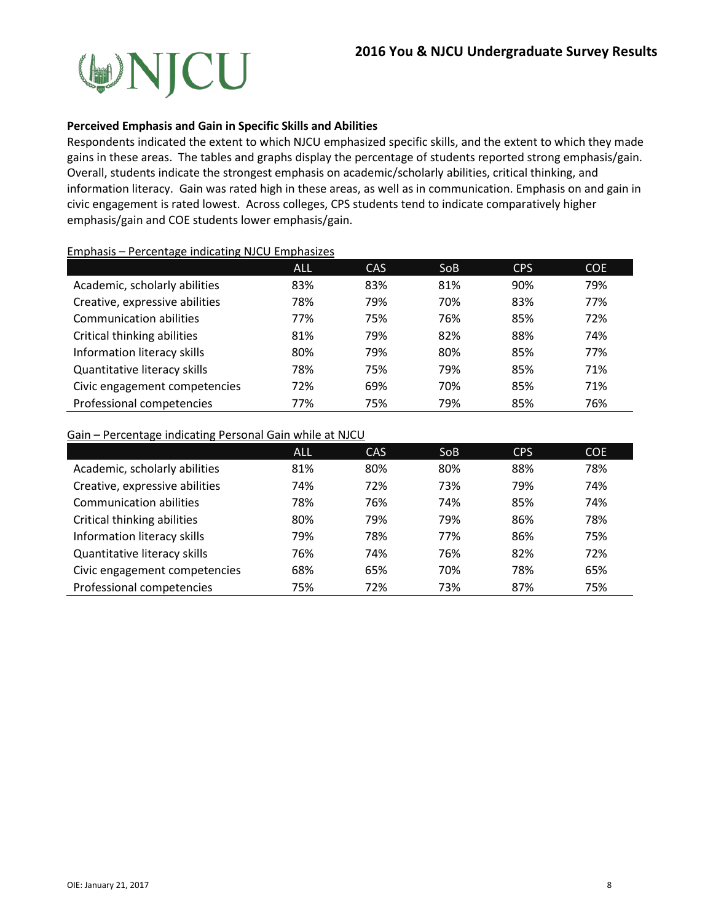

#### **Perceived Emphasis and Gain in Specific Skills and Abilities**

Respondents indicated the extent to which NJCU emphasized specific skills, and the extent to which they made gains in these areas. The tables and graphs display the percentage of students reported strong emphasis/gain. Overall, students indicate the strongest emphasis on academic/scholarly abilities, critical thinking, and information literacy. Gain was rated high in these areas, as well as in communication. Emphasis on and gain in civic engagement is rated lowest. Across colleges, CPS students tend to indicate comparatively higher emphasis/gain and COE students lower emphasis/gain.

#### Emphasis – Percentage indicating NJCU Emphasizes

|                                | <b>ALL</b> | CAS | SoB | <b>CPS</b> | COE. |
|--------------------------------|------------|-----|-----|------------|------|
| Academic, scholarly abilities  | 83%        | 83% | 81% | 90%        | 79%  |
| Creative, expressive abilities | 78%        | 79% | 70% | 83%        | 77%  |
| <b>Communication abilities</b> | 77%        | 75% | 76% | 85%        | 72%  |
| Critical thinking abilities    | 81%        | 79% | 82% | 88%        | 74%  |
| Information literacy skills    | 80%        | 79% | 80% | 85%        | 77%  |
| Quantitative literacy skills   | 78%        | 75% | 79% | 85%        | 71%  |
| Civic engagement competencies  | 72%        | 69% | 70% | 85%        | 71%  |
| Professional competencies      | 77%        | 75% | 79% | 85%        | 76%  |

### Gain – Percentage indicating Personal Gain while at NJCU

|                                | ALL | CAS | SoB | <b>CPS</b> | <b>COE</b> |
|--------------------------------|-----|-----|-----|------------|------------|
| Academic, scholarly abilities  | 81% | 80% | 80% | 88%        | 78%        |
| Creative, expressive abilities | 74% | 72% | 73% | 79%        | 74%        |
| <b>Communication abilities</b> | 78% | 76% | 74% | 85%        | 74%        |
| Critical thinking abilities    | 80% | 79% | 79% | 86%        | 78%        |
| Information literacy skills    | 79% | 78% | 77% | 86%        | 75%        |
| Quantitative literacy skills   | 76% | 74% | 76% | 82%        | 72%        |
| Civic engagement competencies  | 68% | 65% | 70% | 78%        | 65%        |
| Professional competencies      | 75% | 72% | 73% | 87%        | 75%        |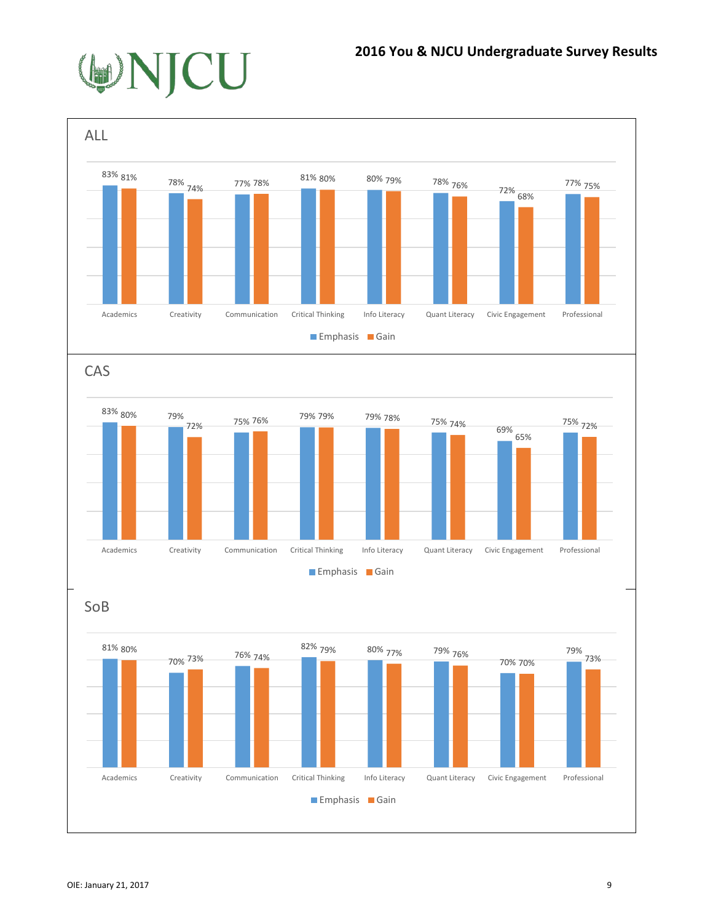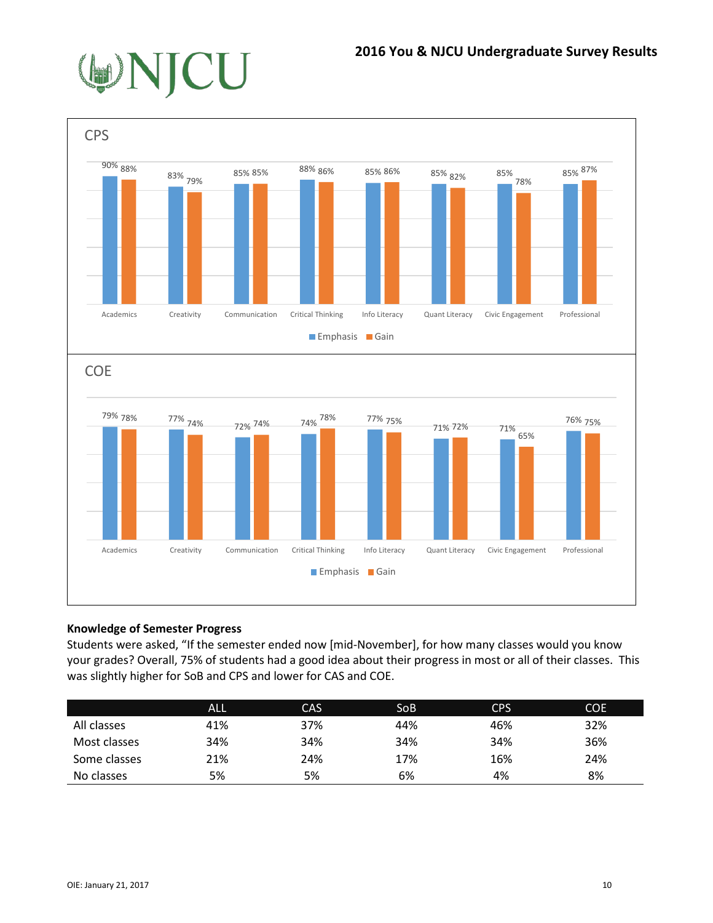



## **Knowledge of Semester Progress**

Students were asked, "If the semester ended now [mid-November], for how many classes would you know your grades? Overall, 75% of students had a good idea about their progress in most or all of their classes. This was slightly higher for SoB and CPS and lower for CAS and COE.

|              | <b>ALL</b> | <b>CAS</b> | SoB | <b>CPS</b> | <b>COE</b> |
|--------------|------------|------------|-----|------------|------------|
| All classes  | 41%        | 37%        | 44% | 46%        | 32%        |
| Most classes | 34%        | 34%        | 34% | 34%        | 36%        |
| Some classes | 21%        | 24%        | 17% | 16%        | 24%        |
| No classes   | 5%         | 5%         | 6%  | 4%         | 8%         |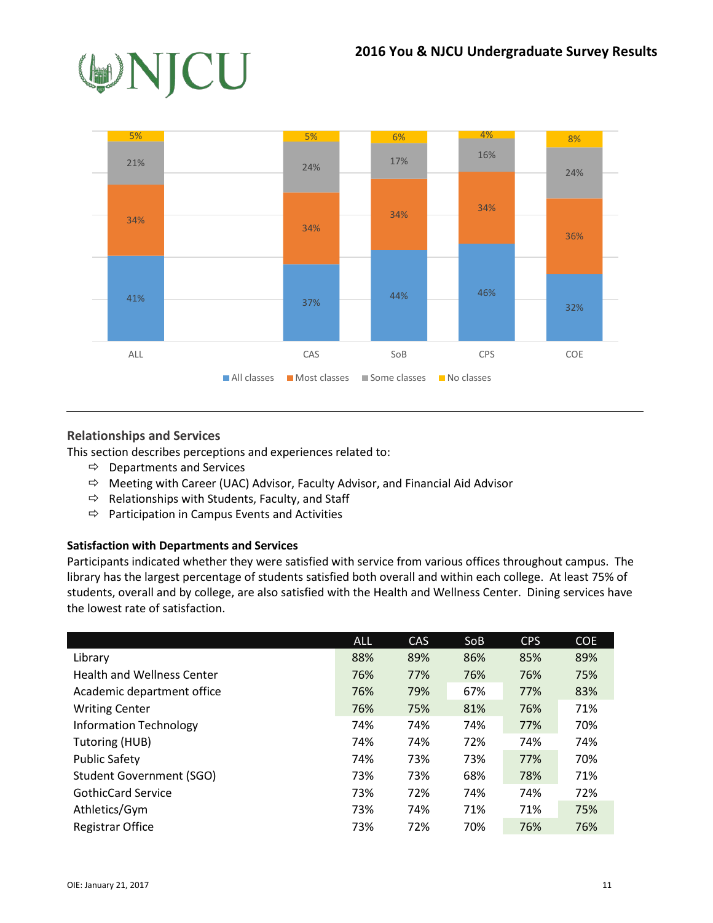



## **Relationships and Services**

This section describes perceptions and experiences related to:

- $\Rightarrow$  Departments and Services
- $\Rightarrow$  Meeting with Career (UAC) Advisor, Faculty Advisor, and Financial Aid Advisor
- $\Rightarrow$  Relationships with Students, Faculty, and Staff
- $\Rightarrow$  Participation in Campus Events and Activities

#### **Satisfaction with Departments and Services**

Participants indicated whether they were satisfied with service from various offices throughout campus. The library has the largest percentage of students satisfied both overall and within each college. At least 75% of students, overall and by college, are also satisfied with the Health and Wellness Center. Dining services have the lowest rate of satisfaction.

|                                   | <b>ALL</b> | <b>CAS</b> | <b>SoB</b> | <b>CPS</b> | <b>COE</b> |
|-----------------------------------|------------|------------|------------|------------|------------|
| Library                           | 88%        | 89%        | 86%        | 85%        | 89%        |
| <b>Health and Wellness Center</b> | 76%        | 77%        | 76%        | 76%        | 75%        |
| Academic department office        | 76%        | 79%        | 67%        | 77%        | 83%        |
| <b>Writing Center</b>             | 76%        | 75%        | 81%        | 76%        | 71%        |
| <b>Information Technology</b>     | 74%        | 74%        | 74%        | 77%        | 70%        |
| Tutoring (HUB)                    | 74%        | 74%        | 72%        | 74%        | 74%        |
| <b>Public Safety</b>              | 74%        | 73%        | 73%        | 77%        | 70%        |
| <b>Student Government (SGO)</b>   | 73%        | 73%        | 68%        | 78%        | 71%        |
| <b>GothicCard Service</b>         | 73%        | 72%        | 74%        | 74%        | 72%        |
| Athletics/Gym                     | 73%        | 74%        | 71%        | 71%        | 75%        |
| Registrar Office                  | 73%        | 72%        | 70%        | 76%        | 76%        |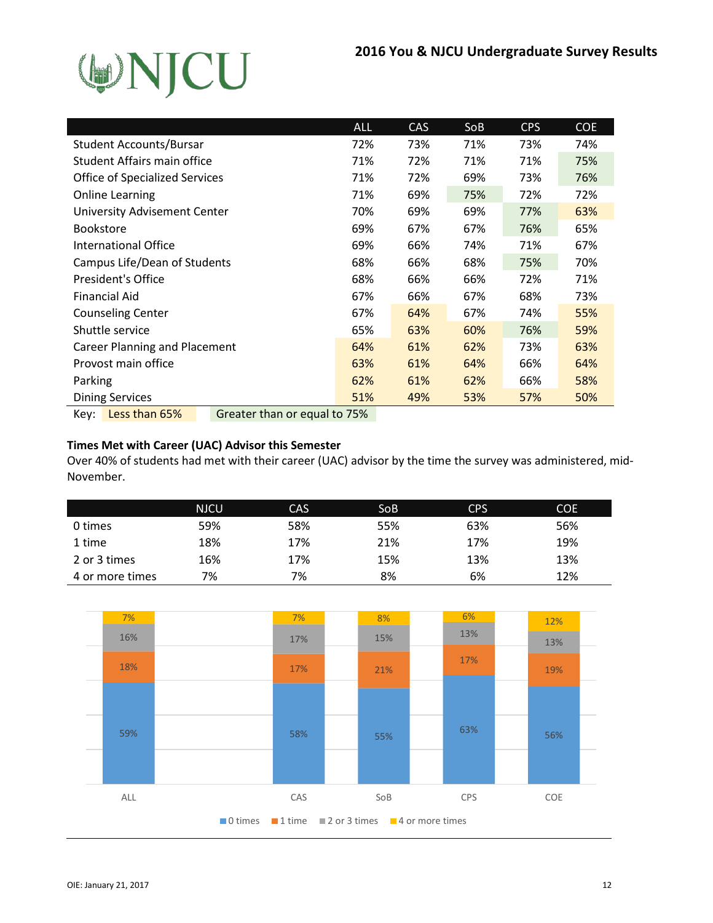

|                                                       | <b>ALL</b> | <b>CAS</b> | So <sub>B</sub> | <b>CPS</b> | <b>COE</b> |
|-------------------------------------------------------|------------|------------|-----------------|------------|------------|
| <b>Student Accounts/Bursar</b>                        | 72%        | 73%        | 71%             | 73%        | 74%        |
| Student Affairs main office                           | 71%        | 72%        | 71%             | 71%        | 75%        |
| <b>Office of Specialized Services</b>                 | 71%        | 72%        | 69%             | 73%        | 76%        |
| <b>Online Learning</b>                                | 71%        | 69%        | 75%             | 72%        | 72%        |
| University Advisement Center                          | 70%        | 69%        | 69%             | 77%        | 63%        |
| <b>Bookstore</b>                                      | 69%        | 67%        | 67%             | 76%        | 65%        |
| International Office                                  | 69%        | 66%        | 74%             | 71%        | 67%        |
| Campus Life/Dean of Students                          | 68%        | 66%        | 68%             | 75%        | 70%        |
| President's Office                                    | 68%        | 66%        | 66%             | 72%        | 71%        |
| <b>Financial Aid</b>                                  | 67%        | 66%        | 67%             | 68%        | 73%        |
| <b>Counseling Center</b>                              | 67%        | 64%        | 67%             | 74%        | 55%        |
| Shuttle service                                       | 65%        | 63%        | 60%             | 76%        | 59%        |
| <b>Career Planning and Placement</b>                  | 64%        | 61%        | 62%             | 73%        | 63%        |
| Provost main office                                   | 63%        | 61%        | 64%             | 66%        | 64%        |
| Parking                                               | 62%        | 61%        | 62%             | 66%        | 58%        |
| <b>Dining Services</b>                                | 51%        | 49%        | 53%             | 57%        | 50%        |
| Less than 65%<br>Greater than or equal to 75%<br>Key: |            |            |                 |            |            |

#### **Times Met with Career (UAC) Advisor this Semester**

Over 40% of students had met with their career (UAC) advisor by the time the survey was administered, mid-November.

|                 | <b>NJCU</b> | <b>CAS</b> | SoB | <b>CPS</b> | <b>COE</b> |
|-----------------|-------------|------------|-----|------------|------------|
| 0 times         | 59%         | 58%        | 55% | 63%        | 56%        |
| 1 time          | 18%         | 17%        | 21% | 17%        | 19%        |
| 2 or 3 times    | 16%         | 17%        | 15% | 13%        | 13%        |
| 4 or more times | 7%          | 7%         | 8%  | 6%         | 12%        |

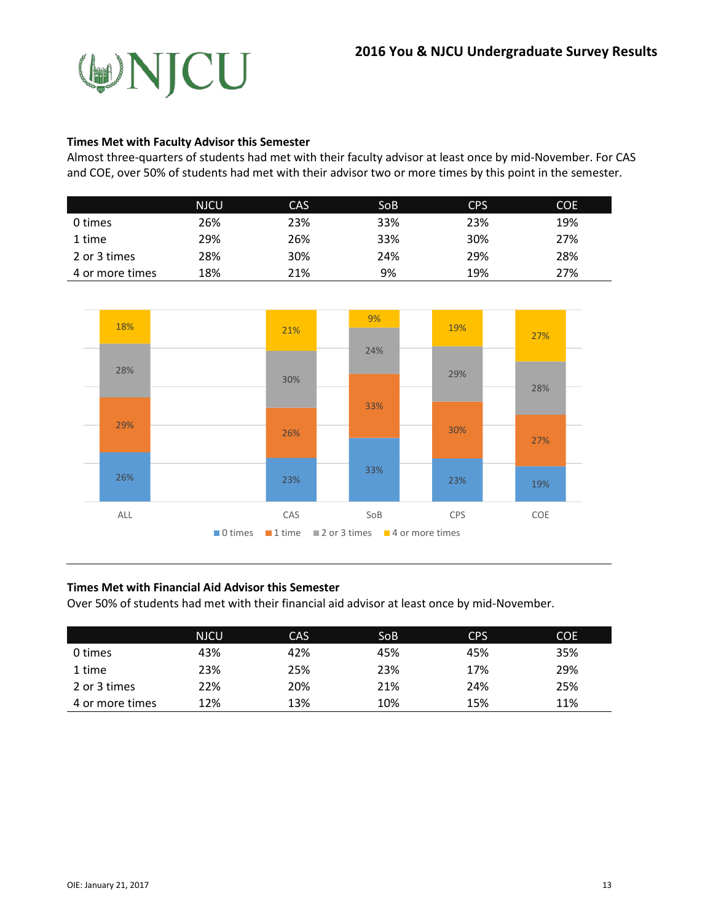

#### **Times Met with Faculty Advisor this Semester**

Almost three-quarters of students had met with their faculty advisor at least once by mid-November. For CAS and COE, over 50% of students had met with their advisor two or more times by this point in the semester.

|                 | NJCU | <b>CAS</b> | SoB | <b>CPS</b> | COE |
|-----------------|------|------------|-----|------------|-----|
| 0 times         | 26%  | 23%        | 33% | 23%        | 19% |
| 1 time          | 29%  | 26%        | 33% | 30%        | 27% |
| 2 or 3 times    | 28%  | 30%        | 24% | 29%        | 28% |
| 4 or more times | 18%  | 21%        | 9%  | 19%        | 27% |



#### **Times Met with Financial Aid Advisor this Semester**

Over 50% of students had met with their financial aid advisor at least once by mid-November.

|                 | <b>NJCU</b> | CAS | SoB <sup>1</sup> | <b>CPS</b> | <b>COE</b> |
|-----------------|-------------|-----|------------------|------------|------------|
| 0 times         | 43%         | 42% | 45%              | 45%        | 35%        |
| 1 time          | 23%         | 25% | 23%              | 17%        | 29%        |
| 2 or 3 times    | 22%         | 20% | 21%              | 24%        | 25%        |
| 4 or more times | 12%         | 13% | 10%              | 15%        | 11%        |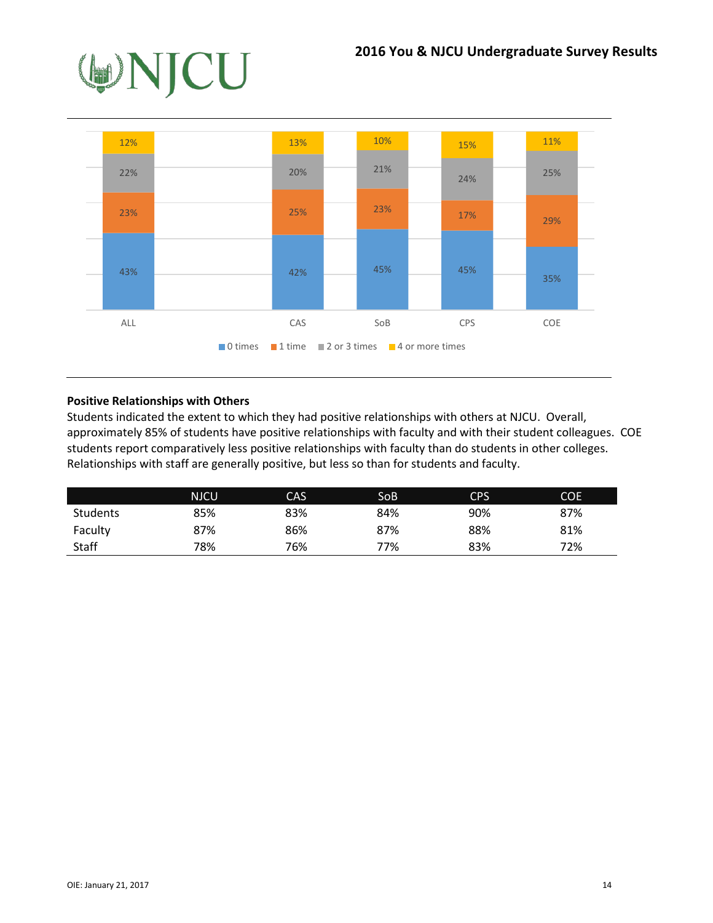



#### **Positive Relationships with Others**

Students indicated the extent to which they had positive relationships with others at NJCU. Overall, approximately 85% of students have positive relationships with faculty and with their student colleagues. COE students report comparatively less positive relationships with faculty than do students in other colleges. Relationships with staff are generally positive, but less so than for students and faculty.

|                 | <b>NJCU</b> | CAS | SoB | <b>CPS</b> | <b>COE</b> |
|-----------------|-------------|-----|-----|------------|------------|
| <b>Students</b> | 85%         | 83% | 84% | 90%        | 87%        |
| Faculty         | 87%         | 86% | 87% | 88%        | 81%        |
| <b>Staff</b>    | 78%         | 76% | 77% | 83%        | 72%        |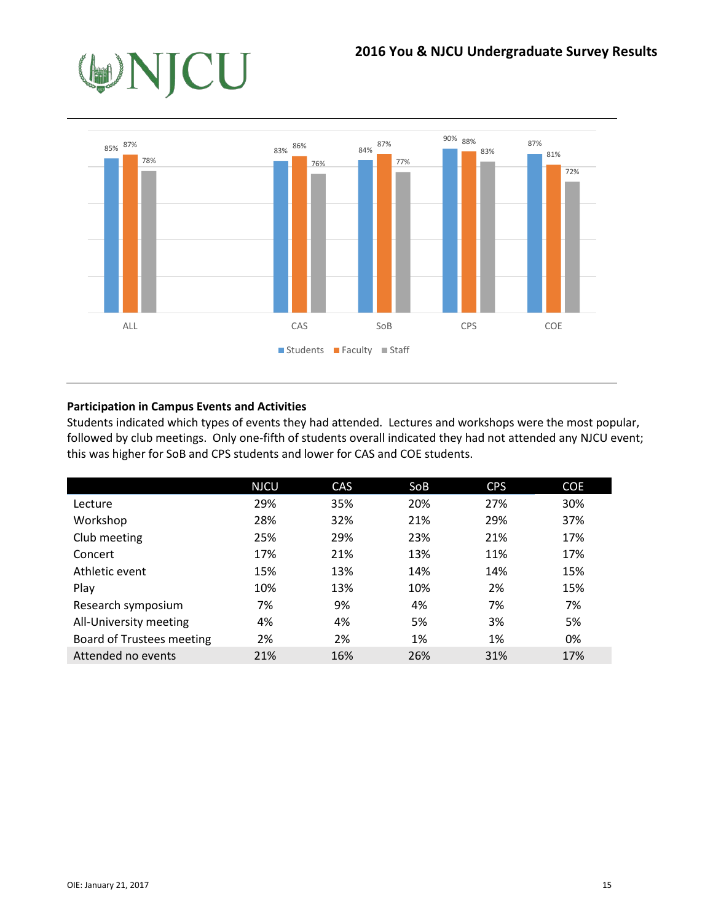

## **Participation in Campus Events and Activities**

Students indicated which types of events they had attended. Lectures and workshops were the most popular, followed by club meetings. Only one-fifth of students overall indicated they had not attended any NJCU event; this was higher for SoB and CPS students and lower for CAS and COE students.

|                           | <b>NJCU</b> | CAS | SoB | <b>CPS</b> | <b>COE</b> |
|---------------------------|-------------|-----|-----|------------|------------|
| Lecture                   | 29%         | 35% | 20% | 27%        | 30%        |
| Workshop                  | 28%         | 32% | 21% | 29%        | 37%        |
| Club meeting              | 25%         | 29% | 23% | 21%        | 17%        |
| Concert                   | 17%         | 21% | 13% | 11%        | 17%        |
| Athletic event            | 15%         | 13% | 14% | 14%        | 15%        |
| Play                      | 10%         | 13% | 10% | 2%         | 15%        |
| Research symposium        | 7%          | 9%  | 4%  | 7%         | 7%         |
| All-University meeting    | 4%          | 4%  | 5%  | 3%         | 5%         |
| Board of Trustees meeting | 2%          | 2%  | 1%  | 1%         | 0%         |
| Attended no events        | 21%         | 16% | 26% | 31%        | 17%        |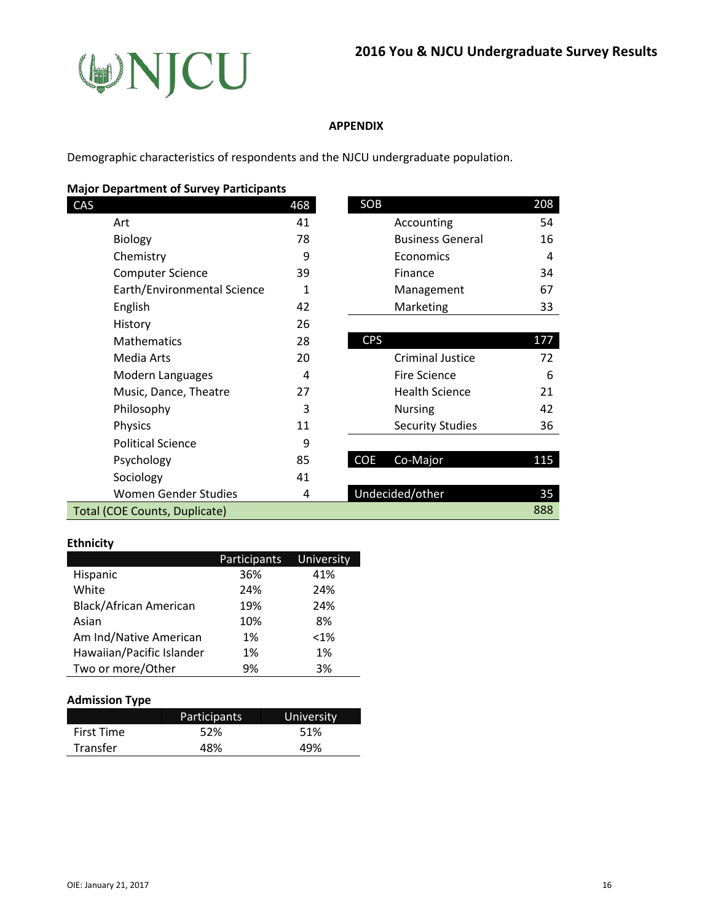

#### **APPENDIX**

Demographic characteristics of respondents and the NJCU undergraduate population.

## **Major Department of Survey Participants**

|                               | 468 |                         | 208                                                |
|-------------------------------|-----|-------------------------|----------------------------------------------------|
|                               | 41  | Accounting              | 54                                                 |
|                               | 78  | <b>Business General</b> | 16                                                 |
|                               | 9   | Economics               | 4                                                  |
| <b>Computer Science</b>       | 39  | Finance                 | 34                                                 |
| Earth/Environmental Science   | 1   | Management              | 67                                                 |
|                               | 42  | Marketing               | 33                                                 |
|                               | 26  |                         |                                                    |
|                               | 28  |                         | 177                                                |
|                               | 20  | <b>Criminal Justice</b> | 72                                                 |
| Modern Languages              | 4   | Fire Science            | 6                                                  |
| Music, Dance, Theatre         | 27  | <b>Health Science</b>   | 21                                                 |
|                               | 3   | <b>Nursing</b>          | 42                                                 |
|                               | 11  | <b>Security Studies</b> | 36                                                 |
| <b>Political Science</b>      | 9   |                         |                                                    |
|                               | 85  | Co-Major                | 115                                                |
|                               | 41  |                         |                                                    |
| <b>Women Gender Studies</b>   | 4   |                         | 35                                                 |
| Total (COE Counts, Duplicate) |     |                         | 888                                                |
|                               |     |                         | SOB<br><b>CPS</b><br><b>COE</b><br>Undecided/other |

| SOB |                         | 208 |
|-----|-------------------------|-----|
|     | Accounting              | 54  |
|     | <b>Business General</b> | 16  |
|     | Economics               |     |
|     | Finance                 | 34  |
|     | Management              | 67  |
|     | Marketing               | 33  |

| CPS |                         | 177 |
|-----|-------------------------|-----|
|     | <b>Criminal Justice</b> | 72  |
|     | Fire Science            | 6   |
|     | <b>Health Science</b>   | 21  |
|     | <b>Nursing</b>          | 42  |
|     | <b>Security Studies</b> | つら  |
|     |                         |     |

| Psychology                                                           | 85 | Co-Major<br>COE . | 115 |
|----------------------------------------------------------------------|----|-------------------|-----|
| Sociology                                                            | 41 |                   |     |
| Women Gender Studies                                                 |    | Undecided/other   | 35  |
| $\overline{OP}$ $\overline{O}$ and $\overline{O}$ and $\overline{O}$ |    |                   | 000 |

#### **Ethnicity**

|                           | Participants | University |
|---------------------------|--------------|------------|
| Hispanic                  | 36%          | 41%        |
| White                     | 24%          | 24%        |
| Black/African American    | 19%          | 24%        |
| Asian                     | 10%          | 8%         |
| Am Ind/Native American    | 1%           | $< 1\%$    |
| Hawaiian/Pacific Islander | 1%           | 1%         |
| Two or more/Other         | 9%           | 3%         |

#### **Admission Type**

|                 | <b>Participants</b> | University |
|-----------------|---------------------|------------|
| First Time      | 52%                 | 51%        |
| <b>Transfer</b> | 48%                 | 49%        |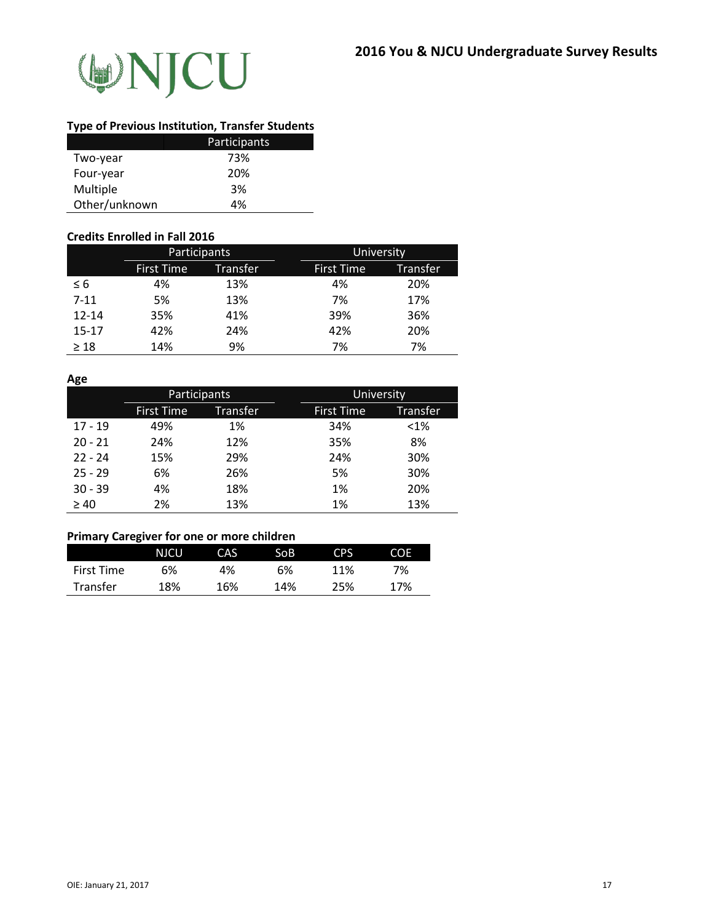

#### **Type of Previous Institution, Transfer Students**

|               | Participants |
|---------------|--------------|
| Two-year      | 73%          |
| Four-year     | 20%          |
| Multiple      | 3%           |
| Other/unknown | 4%           |

#### **Credits Enrolled in Fall 2016**

|           | Participants      |          | University                           |
|-----------|-------------------|----------|--------------------------------------|
|           | <b>First Time</b> | Transfer | <b>First Time</b><br><b>Transfer</b> |
| $\leq 6$  | 4%                | 13%      | 4%<br>20%                            |
| $7 - 11$  | 5%                | 13%      | 7%<br>17%                            |
| $12 - 14$ | 35%               | 41%      | 39%<br>36%                           |
| $15 - 17$ | 42%               | 24%      | 42%<br>20%                           |
| $\geq 18$ | 14%               | 9%       | 7%<br>7%                             |

#### **Age**

|           | Participants      |                 | University |                   |                 |
|-----------|-------------------|-----------------|------------|-------------------|-----------------|
|           | <b>First Time</b> | <b>Transfer</b> |            | <b>First Time</b> | <b>Transfer</b> |
| $17 - 19$ | 49%               | 1%              |            | 34%               | $< 1\%$         |
| $20 - 21$ | 24%               | 12%             |            | 35%               | 8%              |
| $22 - 24$ | 15%               | 29%             |            | 24%               | 30%             |
| $25 - 29$ | 6%                | 26%             |            | 5%                | 30%             |
| $30 - 39$ | 4%                | 18%             |            | 1%                | 20%             |
| $\geq 40$ | 2%                | 13%             |            | 1%                | 13%             |

## **Primary Caregiver for one or more children**

|                   | <b>NJCU</b> | CAS. | SoB | CPS | <b>COE</b> |
|-------------------|-------------|------|-----|-----|------------|
| <b>First Time</b> | 6%          | 4%   | 6%  | 11% | 7%         |
| <b>Transfer</b>   | 18%         | 16%  | 14% | 25% | 17%        |